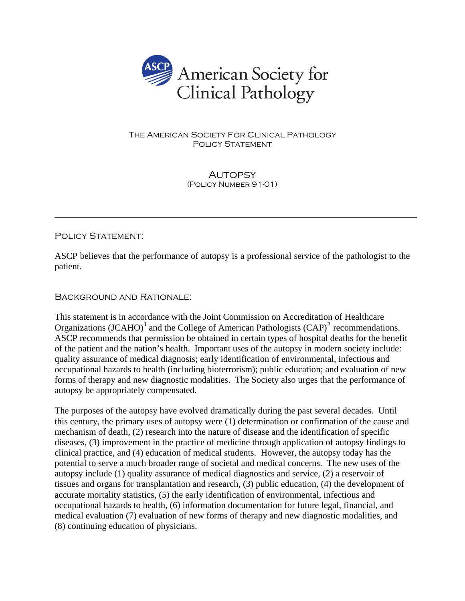

## The American Society For Clinical Pathology POLICY STATEMENT

**AUTOPSY** (Policy Number 91-01)

## POLICY STATEMENT:

 $\overline{a}$ 

ASCP believes that the performance of autopsy is a professional service of the pathologist to the patient.

## Background and Rationale:

This statement is in accordance with the Joint Commission on Accreditation of Healthcare Organizations (JCAHO)<sup>[1](#page-2-0)</sup> and the College of American Pathologists (CAP)<sup>[2](#page-2-1)</sup> recommendations. ASCP recommends that permission be obtained in certain types of hospital deaths for the benefit of the patient and the nation's health. Important uses of the autopsy in modern society include: quality assurance of medical diagnosis; early identification of environmental, infectious and occupational hazards to health (including bioterrorism); public education; and evaluation of new forms of therapy and new diagnostic modalities. The Society also urges that the performance of autopsy be appropriately compensated.

The purposes of the autopsy have evolved dramatically during the past several decades. Until this century, the primary uses of autopsy were (1) determination or confirmation of the cause and mechanism of death, (2) research into the nature of disease and the identification of specific diseases, (3) improvement in the practice of medicine through application of autopsy findings to clinical practice, and (4) education of medical students. However, the autopsy today has the potential to serve a much broader range of societal and medical concerns. The new uses of the autopsy include (1) quality assurance of medical diagnostics and service, (2) a reservoir of tissues and organs for transplantation and research, (3) public education, (4) the development of accurate mortality statistics, (5) the early identification of environmental, infectious and occupational hazards to health, (6) information documentation for future legal, financial, and medical evaluation (7) evaluation of new forms of therapy and new diagnostic modalities, and (8) continuing education of physicians.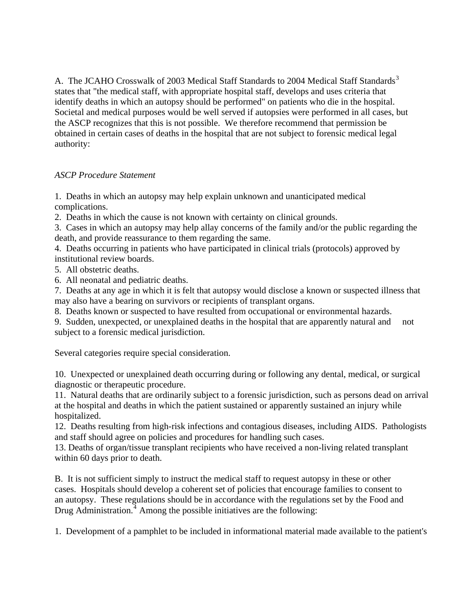A. The JCAHO Crosswalk of 200[3](#page-2-1) Medical Staff Standards to 2004 Medical Staff Standards<sup>3</sup> states that "the medical staff, with appropriate hospital staff, develops and uses criteria that identify deaths in which an autopsy should be performed" on patients who die in the hospital. Societal and medical purposes would be well served if autopsies were performed in all cases, but the ASCP recognizes that this is not possible. We therefore recommend that permission be obtained in certain cases of deaths in the hospital that are not subject to forensic medical legal authority:

## *ASCP Procedure Statement*

1. Deaths in which an autopsy may help explain unknown and unanticipated medical complications.

2. Deaths in which the cause is not known with certainty on clinical grounds.

3. Cases in which an autopsy may help allay concerns of the family and/or the public regarding the death, and provide reassurance to them regarding the same.

4. Deaths occurring in patients who have participated in clinical trials (protocols) approved by institutional review boards.

5. All obstetric deaths.

6. All neonatal and pediatric deaths.

7. Deaths at any age in which it is felt that autopsy would disclose a known or suspected illness that may also have a bearing on survivors or recipients of transplant organs.

8. Deaths known or suspected to have resulted from occupational or environmental hazards.

9. Sudden, unexpected, or unexplained deaths in the hospital that are apparently natural and not subject to a forensic medical jurisdiction.

Several categories require special consideration.

10. Unexpected or unexplained death occurring during or following any dental, medical, or surgical diagnostic or therapeutic procedure.

11. Natural deaths that are ordinarily subject to a forensic jurisdiction, such as persons dead on arrival at the hospital and deaths in which the patient sustained or apparently sustained an injury while hospitalized.

12. Deaths resulting from high-risk infections and contagious diseases, including AIDS. Pathologists and staff should agree on policies and procedures for handling such cases.

13. Deaths of organ/tissue transplant recipients who have received a non-living related transplant within 60 days prior to death.

B. It is not sufficient simply to instruct the medical staff to request autopsy in these or other cases. Hospitals should develop a coherent set of policies that encourage families to consent to an autopsy. These regulations should be in accordance with the regulations set by the Food and Drug Administration.<sup>[4](#page-2-1)</sup> Among the possible initiatives are the following:

1. Development of a pamphlet to be included in informational material made available to the patient's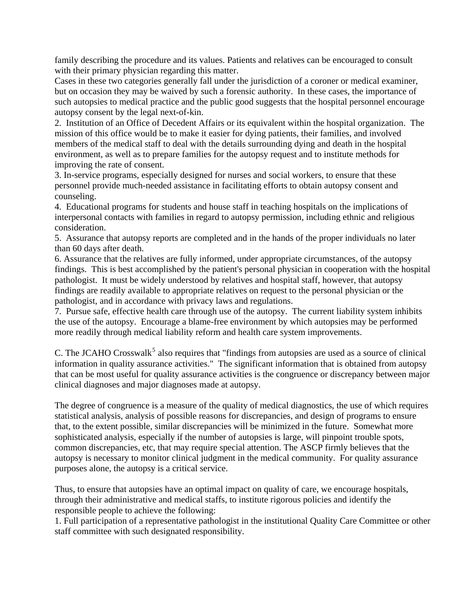<span id="page-2-1"></span>family describing the procedure and its values. Patients and relatives can be encouraged to consult with their primary physician regarding this matter.

Cases in these two categories generally fall under the jurisdiction of a coroner or medical examiner, but on occasion they may be waived by such a forensic authority. In these cases, the importance of such autopsies to medical practice and the public good suggests that the hospital personnel encourage autopsy consent by the legal next-of-kin.

2. Institution of an Office of Decedent Affairs or its equivalent within the hospital organization. The mission of this office would be to make it easier for dying patients, their families, and involved members of the medical staff to deal with the details surrounding dying and death in the hospital environment, as well as to prepare families for the autopsy request and to institute methods for improving the rate of consent.

<span id="page-2-0"></span>3. In-service programs, especially designed for nurses and social workers, to ensure that these personnel provide much-needed assistance in facilitating efforts to obtain autopsy consent and counseling.

4. Educational programs for students and house staff in teaching hospitals on the implications of interpersonal contacts with families in regard to autopsy permission, including ethnic and religious consideration.

5. Assurance that autopsy reports are completed and in the hands of the proper individuals no later than 60 days after death.

6. Assurance that the relatives are fully informed, under appropriate circumstances, of the autopsy findings. This is best accomplished by the patient's personal physician in cooperation with the hospital pathologist. It must be widely understood by relatives and hospital staff, however, that autopsy findings are readily available to appropriate relatives on request to the personal physician or the pathologist, and in accordance with privacy laws and regulations.

7. Pursue safe, effective health care through use of the autopsy. The current liability system inhibits the use of the autopsy. Encourage a blame-free environment by which autopsies may be performed more readily through medical liability reform and health care system improvements.

C. The JCAHO Crosswalk<sup>[5](#page-2-1)</sup> also requires that "findings from autopsies are used as a source of clinical information in quality assurance activities." The significant information that is obtained from autopsy that can be most useful for quality assurance activities is the congruence or discrepancy between major clinical diagnoses and major diagnoses made at autopsy.

The degree of congruence is a measure of the quality of medical diagnostics, the use of which requires statistical analysis, analysis of possible reasons for discrepancies, and design of programs to ensure that, to the extent possible, similar discrepancies will be minimized in the future. Somewhat more sophisticated analysis, especially if the number of autopsies is large, will pinpoint trouble spots, common discrepancies, etc, that may require special attention. The ASCP firmly believes that the autopsy is necessary to monitor clinical judgment in the medical community. For quality assurance purposes alone, the autopsy is a critical service.

Thus, to ensure that autopsies have an optimal impact on quality of care, we encourage hospitals, through their administrative and medical staffs, to institute rigorous policies and identify the responsible people to achieve the following:

1. Full participation of a representative pathologist in the institutional Quality Care Committee or other staff committee with such designated responsibility.